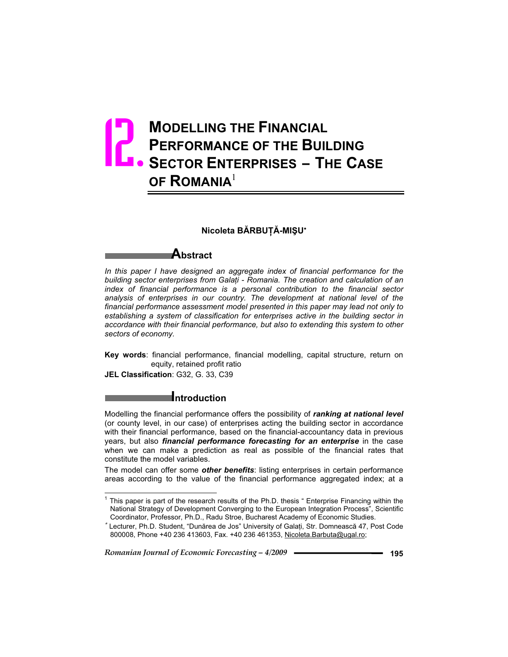# **MODELLING THE FINANCIAL PERFORMANCE OF THE BUILDING SECTOR ENTERPRISES – THE CASE ARE SECTOR ENTERPRISES – THE CASE OF ROMANIA**<sup>1</sup>

## **Nicoleta BĂRBUȚĂ-MIŞU\***

## **Abstract**

*In this paper I have designed an aggregate index of financial performance for the building sector enterprises from Galai - Romania. The creation and calculation of an index of financial performance is a personal contribution to the financial sector analysis of enterprises in our country. The development at national level of the financial performance assessment model presented in this paper may lead not only to establishing a system of classification for enterprises active in the building sector in accordance with their financial performance, but also to extending this system to other sectors of economy.*

**Key words**: financial performance, financial modelling, capital structure, return on equity, retained profit ratio

**JEL Classification**: G32, G. 33, C39

## **Introduction**

Modelling the financial performance offers the possibility of *ranking at national level* (or county level, in our case) of enterprises acting the building sector in accordance with their financial performance, based on the financial-accountancy data in previous years, but also *financial performance forecasting for an enterprise* in the case when we can make a prediction as real as possible of the financial rates that constitute the model variables.

The model can offer some *other benefits*: listing enterprises in certain performance areas according to the value of the financial performance aggregated index; at a

 $1$  This paper is part of the research results of the Ph.D. thesis " Enterprise Financing within the National Strategy of Development Converging to the European Integration Process", Scientific Coordinator, Professor, Ph.D., Radu Stroe, Bucharest Academy of Economic Studies.

<sup>\*</sup> Lecturer, Ph.D. Student, "Dunărea de Jos" University of Galați, Str. Domnească 47, Post Code 800008, Phone +40 236 413603, Fax. +40 236 461353, Nicoleta.Barbuta@ugal.ro;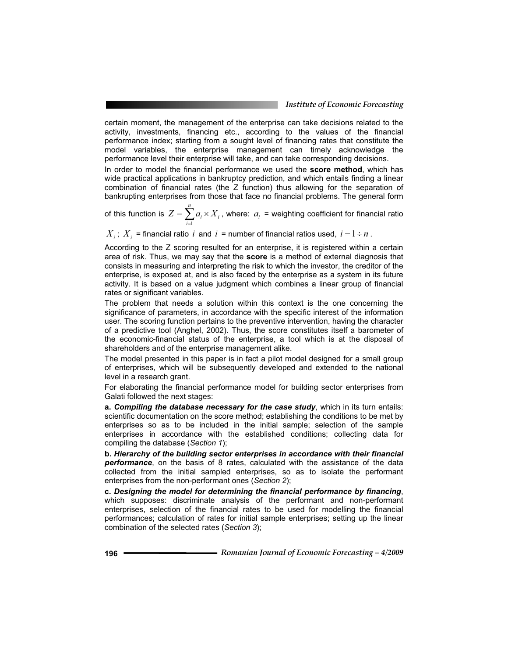certain moment, the management of the enterprise can take decisions related to the activity, investments, financing etc., according to the values of the financial performance index; starting from a sought level of financing rates that constitute the model variables, the enterprise management can timely acknowledge the performance level their enterprise will take, and can take corresponding decisions.

In order to model the financial performance we used the **score method**, which has wide practical applications in bankruptcy prediction, and which entails finding a linear combination of financial rates (the Z function) thus allowing for the separation of bankrupting enterprises from those that face no financial problems. The general form

of this function is  $\,Z = \sum a_i \!\times\! X_i$ *n*  $Z = \sum_{i=1}^{n} a_i \times X$  $=1$ , where:  $a_i$  = weighting coefficient for financial ratio

 $X_i$ ;  $X_i$  = financial ratio *i* and *i* = number of financial ratios used,  $i = 1 \div n$ .

According to the Z scoring resulted for an enterprise, it is registered within a certain area of risk. Thus, we may say that the **score** is a method of external diagnosis that consists in measuring and interpreting the risk to which the investor, the creditor of the enterprise, is exposed at, and is also faced by the enterprise as a system in its future activity. It is based on a value judgment which combines a linear group of financial rates or significant variables.

The problem that needs a solution within this context is the one concerning the significance of parameters, in accordance with the specific interest of the information user. The scoring function pertains to the preventive intervention, having the character of a predictive tool (Anghel, 2002). Thus, the score constitutes itself a barometer of the economic-financial status of the enterprise, a tool which is at the disposal of shareholders and of the enterprise management alike.

The model presented in this paper is in fact a pilot model designed for a small group of enterprises, which will be subsequently developed and extended to the national level in a research grant.

For elaborating the financial performance model for building sector enterprises from Galati followed the next stages:

**a.** *Compiling the database necessary for the case study*, which in its turn entails: scientific documentation on the score method; establishing the conditions to be met by enterprises so as to be included in the initial sample; selection of the sample enterprises in accordance with the established conditions; collecting data for compiling the database (*Section 1*);

**b.** *Hierarchy of the building sector enterprises in accordance with their financial performance*, on the basis of 8 rates, calculated with the assistance of the data collected from the initial sampled enterprises, so as to isolate the performant enterprises from the non-performant ones (*Section 2*);

**c.** *Designing the model for determining the financial performance by financing*, which supposes: discriminate analysis of the performant and non-performant enterprises, selection of the financial rates to be used for modelling the financial performances; calculation of rates for initial sample enterprises; setting up the linear combination of the selected rates (*Section 3*);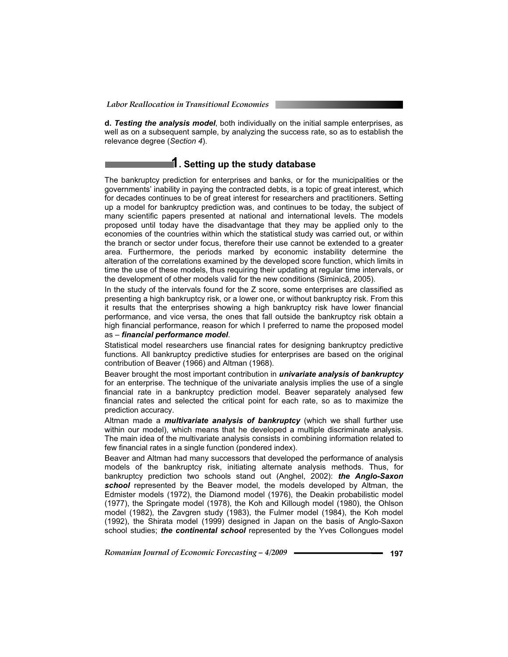**d.** *Testing the analysis model*, both individually on the initial sample enterprises, as well as on a subsequent sample, by analyzing the success rate, so as to establish the relevance degree (*Section 4*).

## **1. Setting up the study database**

The bankruptcy prediction for enterprises and banks, or for the municipalities or the governments' inability in paying the contracted debts, is a topic of great interest, which for decades continues to be of great interest for researchers and practitioners. Setting up a model for bankruptcy prediction was, and continues to be today, the subject of many scientific papers presented at national and international levels. The models proposed until today have the disadvantage that they may be applied only to the economies of the countries within which the statistical study was carried out, or within the branch or sector under focus, therefore their use cannot be extended to a greater area. Furthermore, the periods marked by economic instability determine the alteration of the correlations examined by the developed score function, which limits in time the use of these models, thus requiring their updating at regular time intervals, or the development of other models valid for the new conditions (Siminică, 2005).

In the study of the intervals found for the Z score, some enterprises are classified as presenting a high bankruptcy risk, or a lower one, or without bankruptcy risk. From this it results that the enterprises showing a high bankruptcy risk have lower financial performance, and vice versa, the ones that fall outside the bankruptcy risk obtain a high financial performance, reason for which I preferred to name the proposed model as – *financial performance model*.

Statistical model researchers use financial rates for designing bankruptcy predictive functions. All bankruptcy predictive studies for enterprises are based on the original contribution of Beaver (1966) and Altman (1968).

Beaver brought the most important contribution in *univariate analysis of bankruptcy*  for an enterprise. The technique of the univariate analysis implies the use of a single financial rate in a bankruptcy prediction model. Beaver separately analysed few financial rates and selected the critical point for each rate, so as to maximize the prediction accuracy.

Altman made a *multivariate analysis of bankruptcy* (which we shall further use within our model), which means that he developed a multiple discriminate analysis. The main idea of the multivariate analysis consists in combining information related to few financial rates in a single function (pondered index).

Beaver and Altman had many successors that developed the performance of analysis models of the bankruptcy risk, initiating alternate analysis methods. Thus, for bankruptcy prediction two schools stand out (Anghel, 2002): *the Anglo-Saxon*  school represented by the Beaver model, the models developed by Altman, the Edmister models (1972), the Diamond model (1976), the Deakin probabilistic model (1977), the Springate model (1978), the Koh and Killough model (1980), the Ohlson model (1982), the Zavgren study (1983), the Fulmer model (1984), the Koh model (1992), the Shirata model (1999) designed in Japan on the basis of Anglo-Saxon school studies; *the continental school* represented by the Yves Collongues model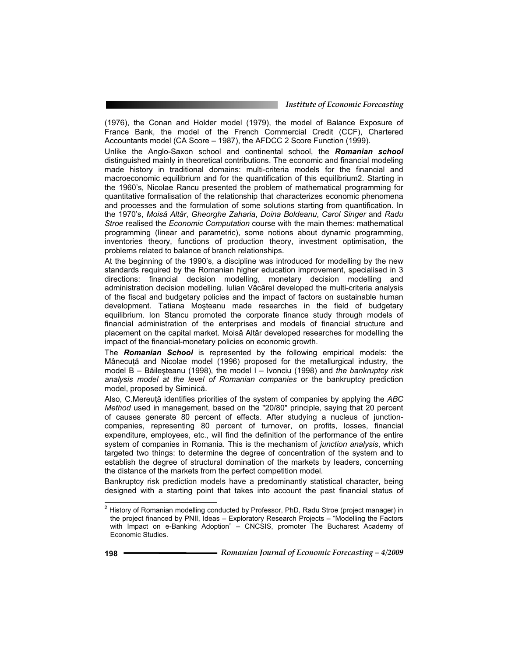(1976), the Conan and Holder model (1979), the model of Balance Exposure of France Bank, the model of the French Commercial Credit (CCF), Chartered Accountants model (CA Score – 1987), the AFDCC 2 Score Function (1999).

Unlike the Anglo-Saxon school and continental school, the *Romanian school* distinguished mainly in theoretical contributions. The economic and financial modeling made history in traditional domains: multi-criteria models for the financial and macroeconomic equilibrium and for the quantification of this equilibrium2. Starting in the 1960's, Nicolae Rancu presented the problem of mathematical programming for quantitative formalisation of the relationship that characterizes economic phenomena and processes and the formulation of some solutions starting from quantification. In the 1970's, *Moisă Altăr*, Gheorghe Zaharia, Doina Boldeanu, Carol Singer and Radu *Stroe* realised the *Economic Computation* course with the main themes: mathematical programming (linear and parametric), some notions about dynamic programming, inventories theory, functions of production theory, investment optimisation, the problems related to balance of branch relationships.

At the beginning of the 1990's, a discipline was introduced for modelling by the new standards required by the Romanian higher education improvement, specialised in 3 directions: financial decision modelling, monetary decision modelling and administration decision modelling. Iulian Văcărel developed the multi-criteria analysis of the fiscal and budgetary policies and the impact of factors on sustainable human development. Tatiana Mosteanu made researches in the field of budgetary equilibrium. Ion Stancu promoted the corporate finance study through models of financial administration of the enterprises and models of financial structure and placement on the capital market. Moisă Altăr developed researches for modelling the impact of the financial-monetary policies on economic growth.

The *Romanian School* is represented by the following empirical models: the Mânecuță and Nicolae model (1996) proposed for the metallurgical industry, the model B – Bileteanu (1998), the model I – Ivonciu (1998) and *the bankruptcy risk analysis model at the level of Romanian companies* or the bankruptcy prediction model, proposed by Siminică.

Also, C.Mereuta identifies priorities of the system of companies by applying the *ABC Method* used in management, based on the "20/80" principle, saying that 20 percent of causes generate 80 percent of effects. After studying a nucleus of junctioncompanies, representing 80 percent of turnover, on profits, losses, financial expenditure, employees, etc., will find the definition of the performance of the entire system of companies in Romania. This is the mechanism of *junction analysis*, which targeted two things: to determine the degree of concentration of the system and to establish the degree of structural domination of the markets by leaders, concerning the distance of the markets from the perfect competition model.

Bankruptcy risk prediction models have a predominantly statistical character, being designed with a starting point that takes into account the past financial status of

 $^{2}$  History of Romanian modelling conducted by Professor, PhD, Radu Stroe (project manager) in the project financed by PNII, Ideas – Exploratory Research Projects – "Modelling the Factors with Impact on e-Banking Adoption" – CNCSIS, promoter The Bucharest Academy of Economic Studies.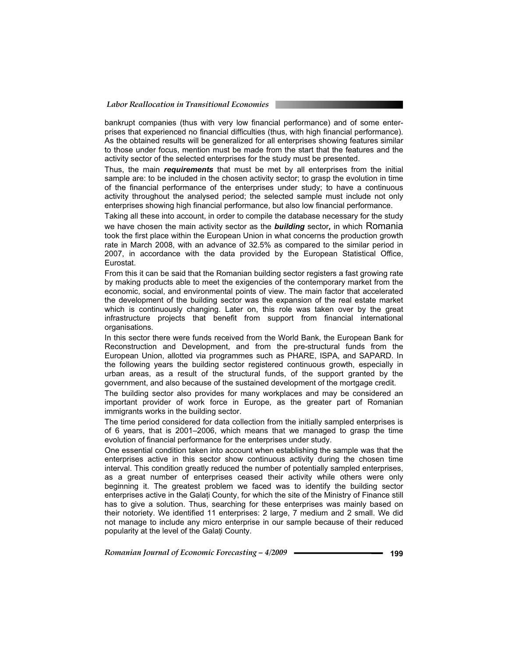## *Labor Reallocation in Transitional Economies*

bankrupt companies (thus with very low financial performance) and of some enterprises that experienced no financial difficulties (thus, with high financial performance). As the obtained results will be generalized for all enterprises showing features similar to those under focus, mention must be made from the start that the features and the activity sector of the selected enterprises for the study must be presented.

Thus, the main *requirements* that must be met by all enterprises from the initial sample are: to be included in the chosen activity sector; to grasp the evolution in time of the financial performance of the enterprises under study; to have a continuous activity throughout the analysed period; the selected sample must include not only enterprises showing high financial performance, but also low financial performance.

Taking all these into account, in order to compile the database necessary for the study we have chosen the main activity sector as the *building* sector*,* in which Romania took the first place within the European Union in what concerns the production growth rate in March 2008, with an advance of 32.5% as compared to the similar period in 2007, in accordance with the data provided by the European Statistical Office, Eurostat.

From this it can be said that the Romanian building sector registers a fast growing rate by making products able to meet the exigencies of the contemporary market from the economic, social, and environmental points of view. The main factor that accelerated the development of the building sector was the expansion of the real estate market which is continuously changing. Later on, this role was taken over by the great infrastructure projects that benefit from support from financial international organisations.

In this sector there were funds received from the World Bank, the European Bank for Reconstruction and Development, and from the pre-structural funds from the European Union, allotted via programmes such as PHARE, ISPA, and SAPARD. In the following years the building sector registered continuous growth, especially in urban areas, as a result of the structural funds, of the support granted by the government, and also because of the sustained development of the mortgage credit.

The building sector also provides for many workplaces and may be considered an important provider of work force in Europe, as the greater part of Romanian immigrants works in the building sector.

The time period considered for data collection from the initially sampled enterprises is of 6 years, that is 2001–2006, which means that we managed to grasp the time evolution of financial performance for the enterprises under study.

One essential condition taken into account when establishing the sample was that the enterprises active in this sector show continuous activity during the chosen time interval. This condition greatly reduced the number of potentially sampled enterprises, as a great number of enterprises ceased their activity while others were only beginning it. The greatest problem we faced was to identify the building sector enterprises active in the Galați County, for which the site of the Ministry of Finance still has to give a solution. Thus, searching for these enterprises was mainly based on their notoriety. We identified 11 enterprises: 2 large, 7 medium and 2 small. We did not manage to include any micro enterprise in our sample because of their reduced popularity at the level of the Galați County.

*Romanian Journal of Economic Forecasting – 4/2009* **- • • • • • • • • 199**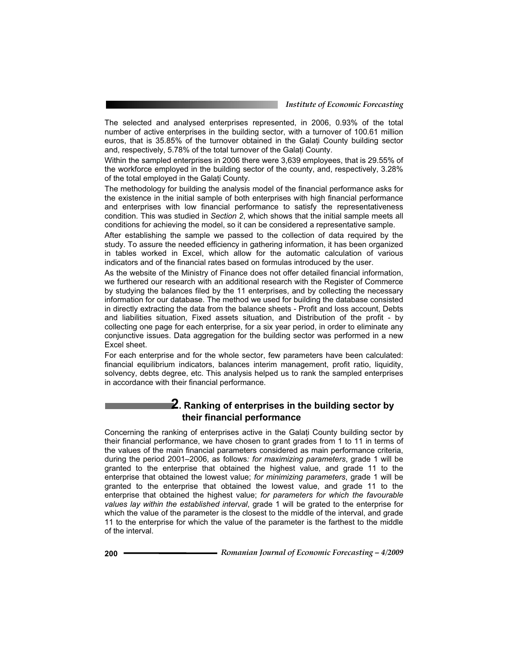The selected and analysed enterprises represented, in 2006, 0.93% of the total number of active enterprises in the building sector, with a turnover of 100.61 million euros, that is 35.85% of the turnover obtained in the Galati County building sector and, respectively, 5.78% of the total turnover of the Galați County.

Within the sampled enterprises in 2006 there were 3,639 employees, that is 29.55% of the workforce employed in the building sector of the county, and, respectively, 3.28% of the total employed in the Galați County.

The methodology for building the analysis model of the financial performance asks for the existence in the initial sample of both enterprises with high financial performance and enterprises with low financial performance to satisfy the representativeness condition. This was studied in *Section 2*, which shows that the initial sample meets all conditions for achieving the model, so it can be considered a representative sample.

After establishing the sample we passed to the collection of data required by the study. To assure the needed efficiency in gathering information, it has been organized in tables worked in Excel, which allow for the automatic calculation of various indicators and of the financial rates based on formulas introduced by the user.

As the website of the Ministry of Finance does not offer detailed financial information, we furthered our research with an additional research with the Register of Commerce by studying the balances filed by the 11 enterprises, and by collecting the necessary information for our database. The method we used for building the database consisted in directly extracting the data from the balance sheets - Profit and loss account, Debts and liabilities situation, Fixed assets situation, and Distribution of the profit - by collecting one page for each enterprise, for a six year period, in order to eliminate any conjunctive issues. Data aggregation for the building sector was performed in a new Excel sheet.

For each enterprise and for the whole sector, few parameters have been calculated: financial equilibrium indicators, balances interim management, profit ratio, liquidity, solvency, debts degree, etc. This analysis helped us to rank the sampled enterprises in accordance with their financial performance.

## **2. Ranking of enterprises in the building sector by their financial performance**

Concerning the ranking of enterprises active in the Galati County building sector by their financial performance, we have chosen to grant grades from 1 to 11 in terms of the values of the main financial parameters considered as main performance criteria, during the period 2001–2006, as follows*: for maximizing parameters*, grade 1 will be granted to the enterprise that obtained the highest value, and grade 11 to the enterprise that obtained the lowest value; *for minimizing parameters*, grade 1 will be granted to the enterprise that obtained the lowest value, and grade 11 to the enterprise that obtained the highest value; *for parameters for which the favourable values lay within the established interval*, grade 1 will be grated to the enterprise for which the value of the parameter is the closest to the middle of the interval, and grade 11 to the enterprise for which the value of the parameter is the farthest to the middle of the interval.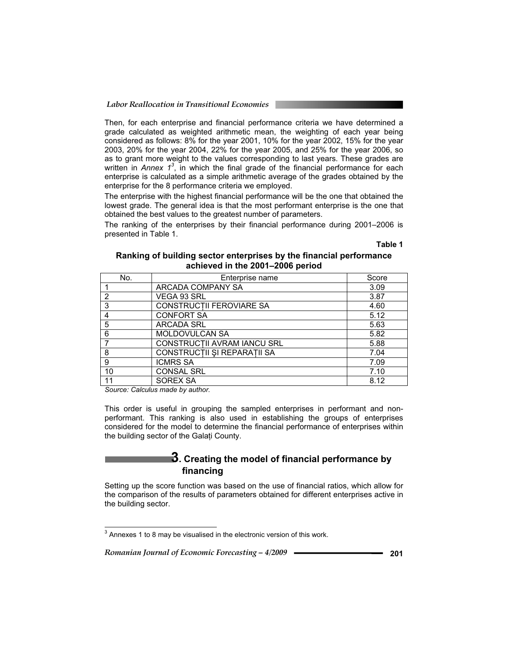Then, for each enterprise and financial performance criteria we have determined a grade calculated as weighted arithmetic mean, the weighting of each year being considered as follows: 8% for the year 2001, 10% for the year 2002, 15% for the year 2003, 20% for the year 2004, 22% for the year 2005, and 25% for the year 2006, so as to grant more weight to the values corresponding to last years. These grades are written in *Annex 1<sup>3</sup>*, in which the final grade of the financial performance for each enterprise is calculated as a simple arithmetic average of the grades obtained by the enterprise for the 8 performance criteria we employed.

The enterprise with the highest financial performance will be the one that obtained the lowest grade. The general idea is that the most performant enterprise is the one that obtained the best values to the greatest number of parameters.

The ranking of the enterprises by their financial performance during 2001–2006 is presented in Table 1.

**Table 1** 

#### **Ranking of building sector enterprises by the financial performance achieved in the 2001–2006 period**

| No. | Enterprise name             | Score |
|-----|-----------------------------|-------|
|     | ARCADA COMPANY SA           | 3.09  |
| 2   | VEGA 93 SRL                 | 3.87  |
| 3   | CONSTRUCTII FEROVIARE SA    | 4.60  |
| 4   | <b>CONFORT SA</b>           | 5.12  |
| 5   | <b>ARCADA SRL</b>           | 5.63  |
| 6   | MOLDOVULCAN SA              | 5.82  |
|     | CONSTRUCTII AVRAM IANCU SRL | 5.88  |
| 8   | CONSTRUCTII ȘI REPARAȚII SA | 7.04  |
| 9   | <b>ICMRS SA</b>             | 7.09  |
| 10  | <b>CONSAL SRL</b>           | 7.10  |
| 11  | SOREX SA                    | 8.12  |

*Source: Calculus made by author.* 

This order is useful in grouping the sampled enterprises in performant and nonperformant. This ranking is also used in establishing the groups of enterprises considered for the model to determine the financial performance of enterprises within the building sector of the Galați County.

## **3. Creating the model of financial performance by financing**

Setting up the score function was based on the use of financial ratios, which allow for the comparison of the results of parameters obtained for different enterprises active in the building sector.

 $3$  Annexes 1 to 8 may be visualised in the electronic version of this work.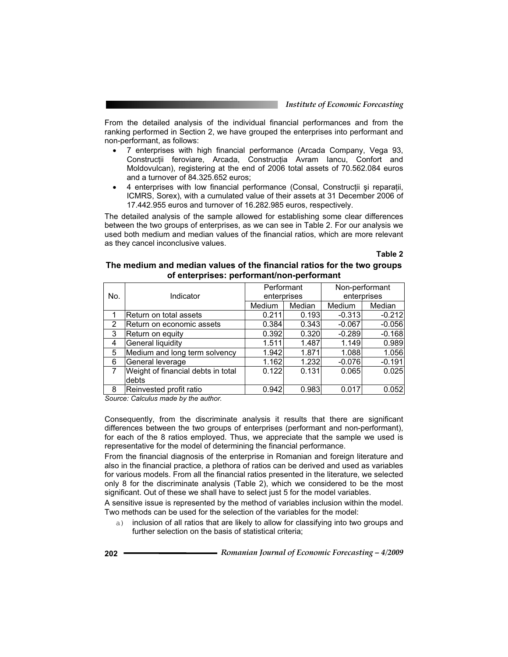From the detailed analysis of the individual financial performances and from the ranking performed in Section 2, we have grouped the enterprises into performant and non-performant, as follows:

- 7 enterprises with high financial performance (Arcada Company, Vega 93, Construcții feroviare, Arcada, Construcția Avram Iancu, Confort and Moldovulcan), registering at the end of 2006 total assets of 70.562.084 euros and a turnover of 84.325.652 euros;
- 4 enterprises with low financial performance (Consal, Construcții și reparații, ICMRS, Sorex), with a cumulated value of their assets at 31 December 2006 of 17.442.955 euros and turnover of 16.282.985 euros, respectively.

The detailed analysis of the sample allowed for establishing some clear differences between the two groups of enterprises, as we can see in Table 2. For our analysis we used both medium and median values of the financial ratios, which are more relevant as they cancel inconclusive values.

**Table 2** 

| The medium and median values of the financial ratios for the two groups |
|-------------------------------------------------------------------------|
| of enterprises: performant/non-performant                               |

|     |                                    | Performant  |        | Non-performant |          |
|-----|------------------------------------|-------------|--------|----------------|----------|
| No. | Indicator                          | enterprises |        | enterprises    |          |
|     |                                    | Medium      | Median | <b>Medium</b>  | Median   |
|     | Return on total assets             | 0.211       | 0.193  | $-0.313$       | $-0.212$ |
| 2   | Return on economic assets          | 0.384       | 0.343  | $-0.067$       | $-0.056$ |
| 3   | Return on equity                   | 0.392       | 0.320  | $-0.289$       | $-0.168$ |
| 4   | General liquidity                  | 1.511       | 1.487  | 1.149          | 0.989    |
| 5   | Medium and long term solvency      | 1.942       | 1.871  | 1.088          | 1.056    |
| 6   | General leverage                   | 1.162       | 1.232  | $-0.076$       | $-0.191$ |
| 7   | Weight of financial debts in total | 0.122       | 0.131  | 0.065          | 0.025    |
|     | debts                              |             |        |                |          |
| 8   | Reinvested profit ratio            | 0.942       | 0.983  | 0.017          | 0.052    |

*Source: Calculus made by the author.* 

Consequently, from the discriminate analysis it results that there are significant differences between the two groups of enterprises (performant and non-performant), for each of the 8 ratios employed. Thus, we appreciate that the sample we used is representative for the model of determining the financial performance.

From the financial diagnosis of the enterprise in Romanian and foreign literature and also in the financial practice, a plethora of ratios can be derived and used as variables for various models. From all the financial ratios presented in the literature, we selected only 8 for the discriminate analysis (Table 2), which we considered to be the most significant. Out of these we shall have to select just 5 for the model variables.

A sensitive issue is represented by the method of variables inclusion within the model. Two methods can be used for the selection of the variables for the model:

a) inclusion of all ratios that are likely to allow for classifying into two groups and further selection on the basis of statistical criteria;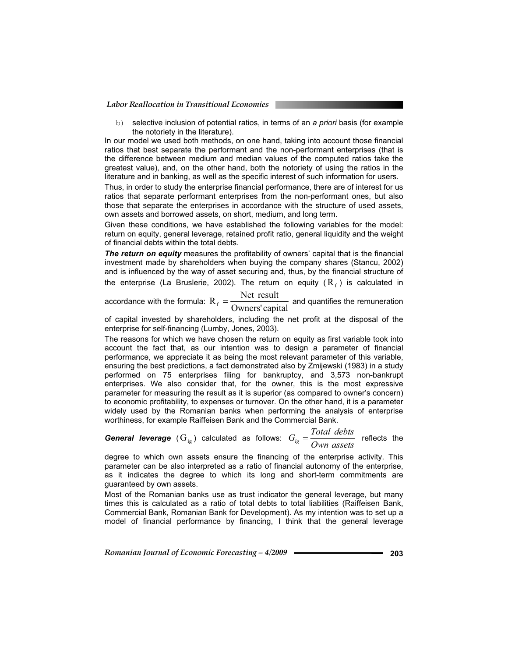*Labor Reallocation in Transitional Economies* 

b) selective inclusion of potential ratios, in terms of an *a priori* basis (for example the notoriety in the literature).

In our model we used both methods, on one hand, taking into account those financial ratios that best separate the performant and the non-performant enterprises (that is the difference between medium and median values of the computed ratios take the greatest value), and, on the other hand, both the notoriety of using the ratios in the literature and in banking, as well as the specific interest of such information for users.

Thus, in order to study the enterprise financial performance, there are of interest for us ratios that separate performant enterprises from the non-performant ones, but also those that separate the enterprises in accordance with the structure of used assets, own assets and borrowed assets, on short, medium, and long term.

Given these conditions, we have established the following variables for the model: return on equity, general leverage, retained profit ratio, general liquidity and the weight of financial debts within the total debts.

*The return on equity* measures the profitability of owners' capital that is the financial investment made by shareholders when buying the company shares (Stancu, 2002) and is influenced by the way of asset securing and, thus, by the financial structure of the enterprise (La Bruslerie, 2002). The return on equity ( $R_f$ ) is calculated in  $R_f$ 

accordance with the formula: Owners' capital<br>concluding the  $R_f = \frac{Net result}{Owners' capital}$  and quantifies the remuneration

of capital invested by shareholders, including the net profit at the disposal of the enterprise for self-financing (Lumby, Jones, 2003).

The reasons for which we have chosen the return on equity as first variable took into account the fact that, as our intention was to design a parameter of financial performance, we appreciate it as being the most relevant parameter of this variable, ensuring the best predictions, a fact demonstrated also by Zmijewski (1983) in a study performed on 75 enterprises filing for bankruptcy, and 3,573 non-bankrupt enterprises. We also consider that, for the owner, this is the most expressive parameter for measuring the result as it is superior (as compared to owner's concern) to economic profitability, to expenses or turnover. On the other hand, it is a parameter widely used by the Romanian banks when performing the analysis of enterprise worthiness, for example Raiffeisen Bank and the Commercial Bank.

*General leverage*  $(G_{ig})$  calculated as follows:  $G_{ig} = \frac{Total \; debts}{Own \; assets}$  reflects the

degree to which own assets ensure the financing of the enterprise activity. This parameter can be also interpreted as a ratio of financial autonomy of the enterprise, as it indicates the degree to which its long and short-term commitments are guaranteed by own assets.

Most of the Romanian banks use as trust indicator the general leverage, but many times this is calculated as a ratio of total debts to total liabilities (Raiffeisen Bank, Commercial Bank, Romanian Bank for Development). As my intention was to set up a model of financial performance by financing, I think that the general leverage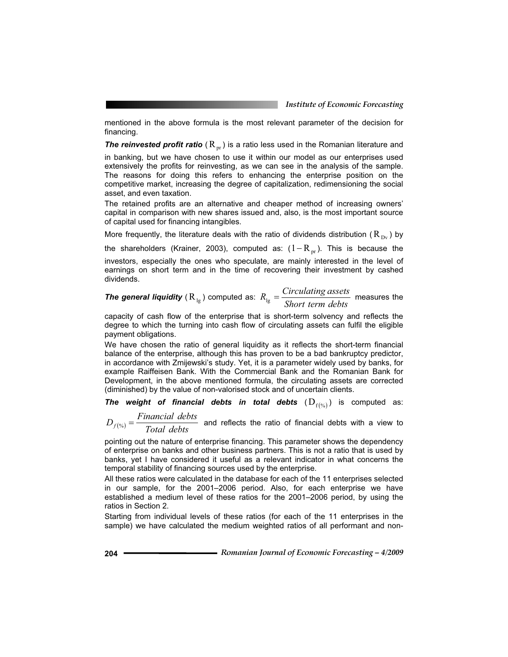mentioned in the above formula is the most relevant parameter of the decision for financing.

**The reinvested profit ratio**  $(R_{pr})$  is a ratio less used in the Romanian literature and

in banking, but we have chosen to use it within our model as our enterprises used extensively the profits for reinvesting, as we can see in the analysis of the sample. The reasons for doing this refers to enhancing the enterprise position on the competitive market, increasing the degree of capitalization, redimensioning the social asset, and even taxation.

The retained profits are an alternative and cheaper method of increasing owners' capital in comparison with new shares issued and, also, is the most important source of capital used for financing intangibles.

More frequently, the literature deals with the ratio of dividends distribution ( $R_{Dv}$ ) by

the shareholders (Krainer, 2003), computed as:  $(1 - R_{pr})$ . This is because the investors, especially the ones who speculate, are mainly interested in the level of earnings on short term and in the time of recovering their investment by cashed dividends.

**The general liquidity**  $(R_{lg})$  computed as:  $R_{lg} = \frac{S_{1} + S_{2} + S_{3}}{Short \ term \ debts}$  $R_{lg} = \frac{Circulating \: assets}{Short \: terms \: debts}$  measures the

capacity of cash flow of the enterprise that is short-term solvency and reflects the degree to which the turning into cash flow of circulating assets can fulfil the eligible payment obligations.

We have chosen the ratio of general liquidity as it reflects the short-term financial balance of the enterprise, although this has proven to be a bad bankruptcy predictor, in accordance with Zmijewski's study. Yet, it is a parameter widely used by banks, for example Raiffeisen Bank. With the Commercial Bank and the Romanian Bank for Development, in the above mentioned formula, the circulating assets are corrected (diminished) by the value of non-valorised stock and of uncertain clients.

**The weight of financial debts in total debts**  $(D_{f(x_0)})$  is computed as:

 $D_{f(*)} = \frac{Financial \; debts}{Total \; debts}$  and reflects the ratio of financial debts with a view to

pointing out the nature of enterprise financing. This parameter shows the dependency of enterprise on banks and other business partners. This is not a ratio that is used by banks, yet I have considered it useful as a relevant indicator in what concerns the temporal stability of financing sources used by the enterprise.

All these ratios were calculated in the database for each of the 11 enterprises selected in our sample, for the 2001–2006 period. Also, for each enterprise we have established a medium level of these ratios for the 2001–2006 period, by using the ratios in Section 2.

Starting from individual levels of these ratios (for each of the 11 enterprises in the sample) we have calculated the medium weighted ratios of all performant and non-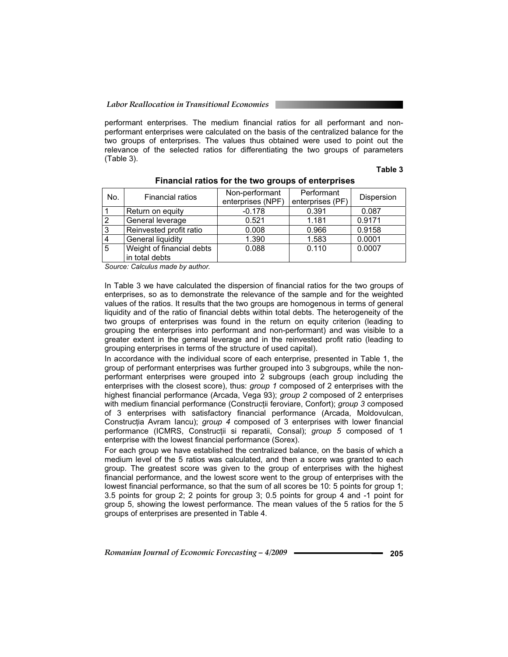performant enterprises. The medium financial ratios for all performant and nonperformant enterprises were calculated on the basis of the centralized balance for the two groups of enterprises. The values thus obtained were used to point out the relevance of the selected ratios for differentiating the two groups of parameters (Table 3).

#### **Table 3**

| No. | <b>Financial ratios</b>   | Non-performant<br>enterprises (NPF) | Performant<br>enterprises (PF) | Dispersion |
|-----|---------------------------|-------------------------------------|--------------------------------|------------|
|     | Return on equity          | $-0.178$                            | 0.391                          | 0.087      |
|     |                           |                                     |                                |            |
| 2   | General leverage          | 0.521                               | 1.181                          | 0.9171     |
| 3   | Reinvested profit ratio   | 0.008                               | 0.966                          | 0.9158     |
|     | General liquidity         | 1.390                               | 1.583                          | 0.0001     |
| 5   | Weight of financial debts | 0.088                               | 0.110                          | 0.0007     |
|     | in total debts            |                                     |                                |            |
|     |                           |                                     |                                |            |

#### **Financial ratios for the two groups of enterprises**

*Source: Calculus made by author.* 

In Table 3 we have calculated the dispersion of financial ratios for the two groups of enterprises, so as to demonstrate the relevance of the sample and for the weighted values of the ratios. It results that the two groups are homogenous in terms of general liquidity and of the ratio of financial debts within total debts. The heterogeneity of the two groups of enterprises was found in the return on equity criterion (leading to grouping the enterprises into performant and non-performant) and was visible to a greater extent in the general leverage and in the reinvested profit ratio (leading to grouping enterprises in terms of the structure of used capital).

In accordance with the individual score of each enterprise, presented in Table 1, the group of performant enterprises was further grouped into 3 subgroups, while the nonperformant enterprises were grouped into 2 subgroups (each group including the enterprises with the closest score), thus: *group 1* composed of 2 enterprises with the highest financial performance (Arcada, Vega 93); *group 2* composed of 2 enterprises with medium financial performance (Construcții feroviare, Confort); *group 3* composed of 3 enterprises with satisfactory financial performance (Arcada, Moldovulcan, Construcția Avram Iancu); *group 4* composed of 3 enterprises with lower financial performance (ICMRS, Construcții si reparatii, Consal); *group 5* composed of 1 enterprise with the lowest financial performance (Sorex).

For each group we have established the centralized balance, on the basis of which a medium level of the 5 ratios was calculated, and then a score was granted to each group. The greatest score was given to the group of enterprises with the highest financial performance, and the lowest score went to the group of enterprises with the lowest financial performance, so that the sum of all scores be 10: 5 points for group 1; 3.5 points for group 2; 2 points for group 3; 0.5 points for group 4 and -1 point for group 5, showing the lowest performance. The mean values of the 5 ratios for the 5 groups of enterprises are presented in Table 4.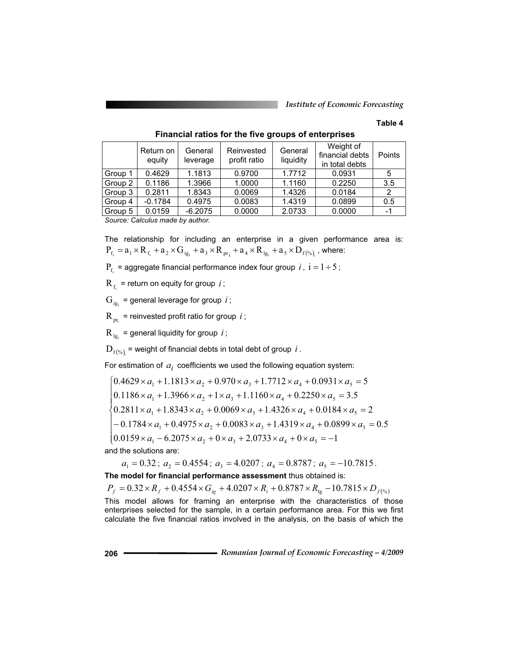*Institute of Economic Forecasting*

#### **Table 4**

|         | Return on<br>equity             | General<br>leverage | Reinvested<br>profit ratio | General<br>liquidity | Weight of<br>financial debts<br>in total debts | Points |
|---------|---------------------------------|---------------------|----------------------------|----------------------|------------------------------------------------|--------|
| Group 1 | 0.4629                          | 1.1813              | 0.9700                     | 1.7712               | 0.0931                                         | 5      |
| Group 2 | 0.1186                          | 1.3966              | 1.0000                     | 1.1160               | 0.2250                                         | 3.5    |
| Group 3 | 0.2811                          | 1.8343              | 0.0069                     | 1.4326               | 0.0184                                         |        |
| Group 4 | $-0.1784$                       | 0.4975              | 0.0083                     | 1.4319               | 0.0899                                         | 0.5    |
| Group 5 | 0.0159                          | $-6.2075$           | 0.0000                     | 2.0733               | 0.0000                                         | -1     |
|         | Source: Calculus made by author |                     |                            |                      |                                                |        |

 **Financial ratios for the five groups of enterprises** 

*Source: Calculus made by author.* 

The relationship for including an enterprise in a given performance area is:  $P_{f_i} = a_1 \times R_{f_i} + a_2 \times G_{ig_i} + a_3 \times R_{pr_i} + a_4 \times R_{lg_i} + a_5 \times D_{f(\%)_i}$ , where: <sup>i</sup> <sup>i</sup> <sup>i</sup> <sup>i</sup> % <sup>i</sup> 4 lg 5 f i

 $P_f$  = aggregate financial performance index four group *i*,  $i = 1 \div 5$ ;

 $R_f$  = return on equity for group *i* ;

 $G_{i g_i}$  = general leverage for group *i*;

 $R_{\rm m}$  = reinvested profit ratio for group *i*;

 $R_{1g}$  = general liquidity for group *i*;

 $\mathbf{D}_{\mathrm{f}(\% )_{i}}$  = weight of financial debts in total debt of group  $\,i$  .

For estimation of  $a_i$  coefficients we used the following equation system:

 $\left[0.0159 \times a_1 - 6.2075 \times a_2 + 0 \times a_3 + 2.0733 \times a_4 + 0 \times a_5\right]$  $\overline{1}$  $\begin{bmatrix} -0.1784 \times a_1 + 0.4975 \times a_2 + 0.0083 \times a_3 + 1.4319 \times a_4 + 0.0899 \times a_5 \end{bmatrix}$  $\mathbf{I}$  $\mathbf{I}$  $\begin{bmatrix} 1 & 0.1186 \times a_1 + 1.3966 \times a_2 + 1 \times a_3 + 1.1160 \times a_4 + 0.2250 \times a_5 = 3.5 \end{bmatrix}$  - - - - - 0.1186 1.3966 1 1.1160 0.2250 3.5 1 2 3 4 5 *a a a a a*  $\left[0.4629 \times a_1 + 1.1813 \times a_2 + 0.970 \times a_3 + 1.7712 \times a_4 + 0.0931 \times a_5\right]$  $\frac{1}{2}$  only  $\frac{1}{2}$  fixed  $\frac{1}{2}$   $\frac{1}{2}$   $\frac{1}{2}$   $\frac{1}{2}$   $\frac{1}{2}$   $\frac{1}{2}$   $\frac{1}{2}$   $\frac{1}{2}$   $\frac{1}{2}$   $\frac{1}{2}$   $\frac{1}{2}$   $\frac{1}{2}$   $\frac{1}{2}$   $\frac{1}{2}$   $\frac{1}{2}$   $\frac{1}{2}$   $\frac{1}{2}$   $\frac{1}{2}$   $\frac{1}{2}$  0.159 ×  $a_1$  – 6.2075 ×  $a_2$  + 0 ×  $a_3$  + 2.0733 ×  $a_4$  + 0 ×  $a_5$  = -1

and the solutions are:

 $a_1 = 0.32$ ;  $a_2 = 0.4554$ ;  $a_3 = 4.0207$ ;  $a_4 = 0.8787$ ;  $a_5 = -10.7815$ . **The model for financial performance assessment** thus obtained is:  $P_f = 0.32 \times R_f + 0.4554 \times G_{ig} + 4.0207 \times R_i + 0.8787 \times R_{ig} - 10.7815 \times D_{f(x_i)}$ This model allows for framing an enterprise with the characteristics of those enterprises selected for the sample, in a certain performance area. For this we first calculate the five financial ratios involved in the analysis, on the basis of which the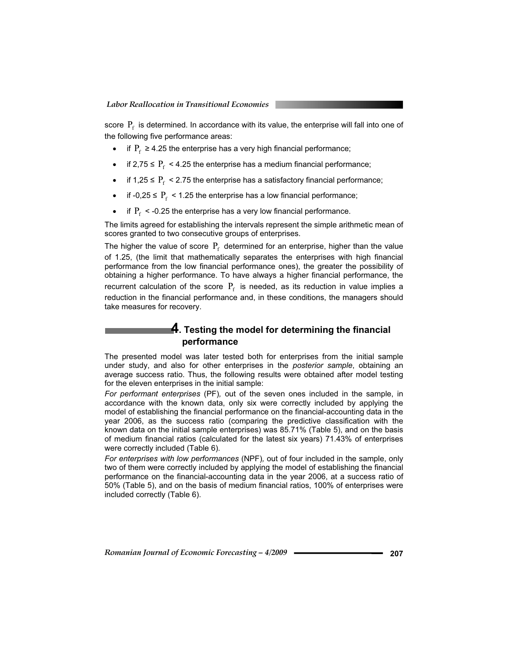score  $P_f$  is determined. In accordance with its value, the enterprise will fall into one of the following five performance areas:

- if  $P_f \ge 4.25$  the enterprise has a very high financial performance;
- if 2,75 ≤  $P_f$  < 4.25 the enterprise has a medium financial performance;<br>• if 1.25 ≤  $P_s$  < 2.75 the enterprise has a satisfactory financial performance
- if 1,25  $\leq$  P<sub>f</sub> < 2.75 the enterprise has a satisfactory financial performance;
- if -0,25  $\leq$  P<sub>f</sub> < 1.25 the enterprise has a low financial performance;
- if  $P_f$  < -0.25 the enterprise has a very low financial performance.

The limits agreed for establishing the intervals represent the simple arithmetic mean of scores granted to two consecutive groups of enterprises.

The higher the value of score  $P_f$  determined for an enterprise, higher than the value of 1.25, (the limit that mathematically separates the enterprises with high financial performance from the low financial performance ones), the greater the possibility of obtaining a higher performance. To have always a higher financial performance, the recurrent calculation of the score  $P_f$  is needed, as its reduction in value implies a reduction in the financial performance and, in these conditions, the managers should take measures for recovery.

## **4. Testing the model for determining the financial performance**

The presented model was later tested both for enterprises from the initial sample under study, and also for other enterprises in the *posterior sample*, obtaining an average success ratio. Thus, the following results were obtained after model testing for the eleven enterprises in the initial sample:

*For performant enterprises* (PF)*,* out of the seven ones included in the sample, in accordance with the known data, only six were correctly included by applying the model of establishing the financial performance on the financial-accounting data in the year 2006, as the success ratio (comparing the predictive classification with the known data on the initial sample enterprises) was 85.71% (Table 5), and on the basis of medium financial ratios (calculated for the latest six years) 71.43% of enterprises were correctly included (Table 6).

*For enterprises with low performances* (NPF)*,* out of four included in the sample, only two of them were correctly included by applying the model of establishing the financial performance on the financial-accounting data in the year 2006, at a success ratio of 50% (Table 5), and on the basis of medium financial ratios, 100% of enterprises were included correctly (Table 6).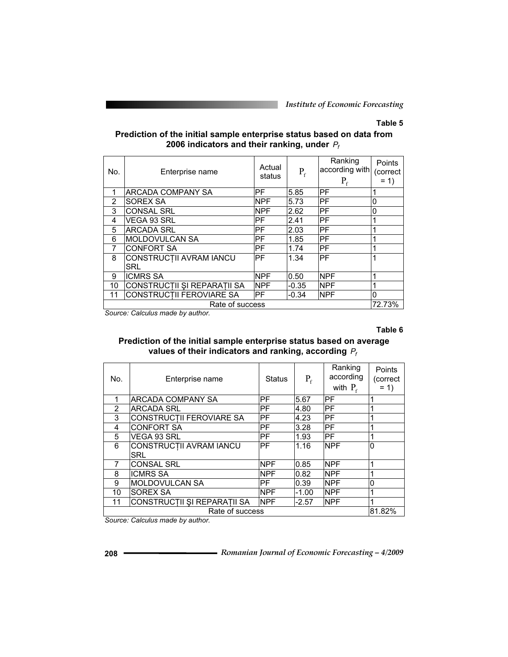*Institute of Economic Forecasting*

## **Table 5**

## **Prediction of the initial sample enterprise status based on data from 2006 indicators and their ranking, under** *Pf*

| No. | Enterprise name                       | Actual<br>status | $P_{f}$ | Ranking<br>according with<br>$P_{\epsilon}$ | <b>Points</b><br>(correct<br>$= 1$ |
|-----|---------------------------------------|------------------|---------|---------------------------------------------|------------------------------------|
|     | ARCADA COMPANY SA                     | IPF.             | 5.85    | РF                                          |                                    |
| 2   | SOREX SA                              | <b>NPF</b>       | 5.73    | PF                                          | 0                                  |
| 3   | <b>CONSAL SRL</b>                     | <b>NPF</b>       | 2.62    | PF                                          | 0                                  |
| 4   | VEGA 93 SRL                           | IPF.             | 2.41    | PF                                          |                                    |
| 5   | <b>ARCADA SRL</b>                     | IPF              | 2.03    | PF                                          |                                    |
| 6   | IMOLDOVULCAN SA                       | IPF              | 1.85    | PF                                          |                                    |
|     | <b>CONFORT SA</b>                     | IPF              | 1.74    | PF                                          |                                    |
| 8   | CONSTRUCTII AVRAM IANCU<br><b>SRL</b> | IPF              | 1.34    | PF                                          |                                    |
| 9   | <b>ICMRS SA</b>                       | <b>NPF</b>       | 0.50    | <b>NPF</b>                                  |                                    |
| 10  | CONSTRUCTII ȘI REPARAȚII SA           | <b>NPF</b>       | $-0.35$ | <b>NPF</b>                                  |                                    |
| 11  | <b>CONSTRUCTII FEROVIARE SA</b>       | IPF              | $-0.34$ | <b>NPF</b>                                  | 0                                  |
|     | Rate of success                       |                  |         |                                             | 72.73%                             |

*Source: Calculus made by author.* 

**Table 6** 

## **Prediction of the initial sample enterprise status based on average values of their indicators and ranking, according** *Pf*

| No. | Enterprise name                | <b>Status</b> | $P_f$   | Ranking<br>according<br>with $P_f$ | Points<br>(correct<br>$= 1$ |
|-----|--------------------------------|---------------|---------|------------------------------------|-----------------------------|
| 1   | ARCADA COMPANY SA              | PF            | 5.67    | IPF                                | 1                           |
| 2   | IARCADA SRL                    | PF            | 4.80    | IPF                                | 1                           |
| 3   | CONSTRUCTII FEROVIARE SA       | PF            | 4.23    | IPF                                |                             |
| 4   | <b>CONFORT SA</b>              | PF            | 3.28    | IPF                                | 4                           |
| 5   | VEGA 93 SRL                    | PF            | 1.93    | <b>IPF</b>                         | 1                           |
| 6   | CONSTRUCȚII AVRAM IANCU<br>SRL | PF            | 1.16    | <b>NPF</b>                         | ۱O                          |
| 7   | <b>CONSAL SRL</b>              | <b>NPF</b>    | 0.85    | <b>NPF</b>                         |                             |
| 8   | <b>ICMRS SA</b>                | <b>NPF</b>    | 0.82    | <b>NPF</b>                         |                             |
| 9   | MOLDOVULCAN SA                 | PF            | 0.39    | <b>NPF</b>                         | $\overline{0}$              |
| 10  | <b>SOREX SA</b>                | <b>NPF</b>    | $-1.00$ | <b>NPF</b>                         | 1                           |
| 11  | CONSTRUCTII ȘI REPARAȚII SA    | <b>NPF</b>    | $-2.57$ | <b>NPF</b>                         | 1                           |
|     | Rate of success                |               |         |                                    | 81.82%                      |

*Source: Calculus made by author.*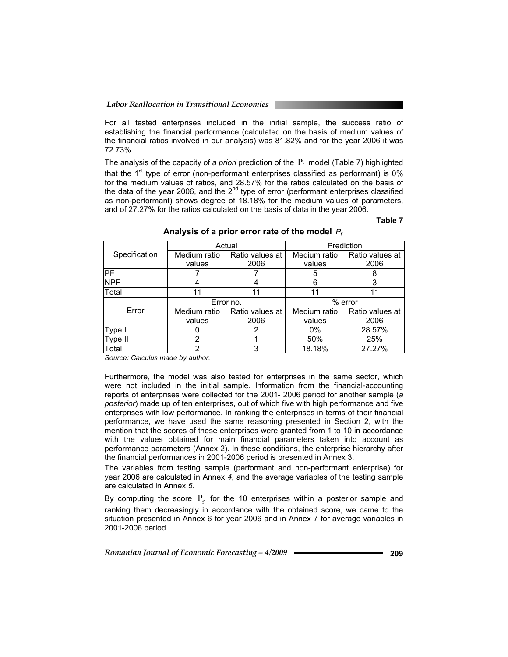For all tested enterprises included in the initial sample, the success ratio of establishing the financial performance (calculated on the basis of medium values of the financial ratios involved in our analysis) was 81.82% and for the year 2006 it was 72.73%.

The analysis of the capacity of *a priori* prediction of the  $P_f$  model (Table 7) highlighted that the  $1<sup>st</sup>$  type of error (non-performant enterprises classified as performant) is 0% for the medium values of ratios, and 28.57% for the ratios calculated on the basis of the data of the year 2006, and the  $2^{nd}$  type of error (performant enterprises classified as non-performant) shows degree of 18.18% for the medium values of parameters, and of 27.27% for the ratios calculated on the basis of data in the year 2006.

#### **Table 7**

|               | Actual       |                 | Prediction   |                 |  |
|---------------|--------------|-----------------|--------------|-----------------|--|
| Specification | Medium ratio | Ratio values at | Medium ratio | Ratio values at |  |
|               | values       | 2006            | values       | 2006            |  |
| PF            |              |                 | 5            |                 |  |
| <b>NPF</b>    |              | 4               | 6            | 3               |  |
| Total         | 11           | 11              | 11           | 11              |  |
|               |              |                 |              |                 |  |
|               | Error no.    |                 |              | $%$ error       |  |
| Error         | Medium ratio | Ratio values at | Medium ratio | Ratio values at |  |
|               | values       | 2006            | values       | 2006            |  |
| Type I        |              | 2               | $0\%$        | 28.57%          |  |
| Type II       | 2            |                 | 50%          | 25%             |  |

**Analysis of a prior error rate of the model** *Pf*

*Source: Calculus made by author.* 

Furthermore, the model was also tested for enterprises in the same sector, which were not included in the initial sample. Information from the financial-accounting reports of enterprises were collected for the 2001- 2006 period for another sample (*a posterior*) made up of ten enterprises, out of which five with high performance and five enterprises with low performance. In ranking the enterprises in terms of their financial performance, we have used the same reasoning presented in Section 2, with the mention that the scores of these enterprises were granted from 1 to 10 in accordance with the values obtained for main financial parameters taken into account as performance parameters (Annex 2). In these conditions, the enterprise hierarchy after the financial performances in 2001-2006 period is presented in Annex 3.

The variables from testing sample (performant and non-performant enterprise) for year 2006 are calculated in Annex *4*, and the average variables of the testing sample are calculated in Annex *5*.

By computing the score  $P_f$  for the 10 enterprises within a posterior sample and ranking them decreasingly in accordance with the obtained score, we came to the situation presented in Annex 6 for year 2006 and in Annex 7 for average variables in 2001-2006 period.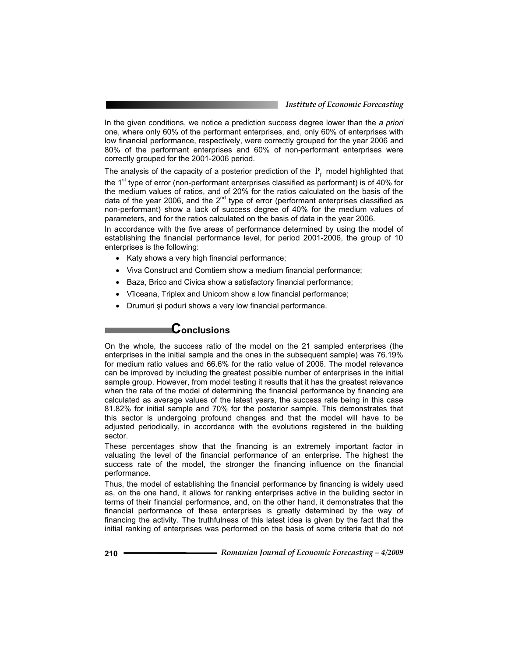In the given conditions, we notice a prediction success degree lower than the *a priori* one, where only 60% of the performant enterprises, and, only 60% of enterprises with low financial performance, respectively, were correctly grouped for the year 2006 and 80% of the performant enterprises and 60% of non-performant enterprises were correctly grouped for the 2001-2006 period.

The analysis of the capacity of a posterior prediction of the  $P_f$  model highlighted that the  $1<sup>st</sup>$  type of error (non-performant enterprises classified as performant) is of 40% for the medium values of ratios, and of 20% for the ratios calculated on the basis of the data of the year 2006, and the  $2^{nd}$  type of error (performant enterprises classified as non-performant) show a lack of success degree of 40% for the medium values of parameters, and for the ratios calculated on the basis of data in the year 2006.

In accordance with the five areas of performance determined by using the model of establishing the financial performance level, for period 2001-2006, the group of 10 enterprises is the following:

- Katy shows a very high financial performance;
- Viva Construct and Comtiem show a medium financial performance;
- Baza, Brico and Civica show a satisfactory financial performance;
- Vîlceana, Triplex and Unicom show a low financial performance;
- Drumuri și poduri shows a very low financial performance.

## **Conclusions**

On the whole, the success ratio of the model on the 21 sampled enterprises (the enterprises in the initial sample and the ones in the subsequent sample) was 76.19% for medium ratio values and 66.6% for the ratio value of 2006. The model relevance can be improved by including the greatest possible number of enterprises in the initial sample group. However, from model testing it results that it has the greatest relevance when the rata of the model of determining the financial performance by financing are calculated as average values of the latest years, the success rate being in this case 81.82% for initial sample and 70% for the posterior sample. This demonstrates that this sector is undergoing profound changes and that the model will have to be adjusted periodically, in accordance with the evolutions registered in the building sector.

These percentages show that the financing is an extremely important factor in valuating the level of the financial performance of an enterprise. The highest the success rate of the model, the stronger the financing influence on the financial performance.

Thus, the model of establishing the financial performance by financing is widely used as, on the one hand, it allows for ranking enterprises active in the building sector in terms of their financial performance, and, on the other hand, it demonstrates that the financial performance of these enterprises is greatly determined by the way of financing the activity. The truthfulness of this latest idea is given by the fact that the initial ranking of enterprises was performed on the basis of some criteria that do not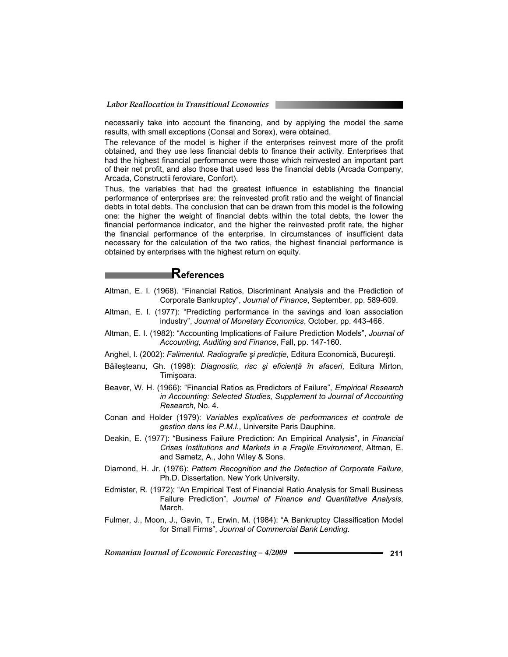necessarily take into account the financing, and by applying the model the same results, with small exceptions (Consal and Sorex), were obtained.

The relevance of the model is higher if the enterprises reinvest more of the profit obtained, and they use less financial debts to finance their activity. Enterprises that had the highest financial performance were those which reinvested an important part of their net profit, and also those that used less the financial debts (Arcada Company, Arcada, Constructii feroviare, Confort).

Thus, the variables that had the greatest influence in establishing the financial performance of enterprises are: the reinvested profit ratio and the weight of financial debts in total debts. The conclusion that can be drawn from this model is the following one: the higher the weight of financial debts within the total debts, the lower the financial performance indicator, and the higher the reinvested profit rate, the higher the financial performance of the enterprise. In circumstances of insufficient data necessary for the calculation of the two ratios, the highest financial performance is obtained by enterprises with the highest return on equity.

## **References**

- Altman, E. I. (1968). "Financial Ratios, Discriminant Analysis and the Prediction of Corporate Bankruptcy", *Journal of Finance*, September, pp. 589-609.
- Altman, E. I. (1977): "Predicting performance in the savings and loan association industry", *Journal of Monetary Economics*, October, pp. 443-466.
- Altman, E. I. (1982): "Accounting Implications of Failure Prediction Models", *Journal of Accounting, Auditing and Finance*, Fall, pp. 147-160.
- Anghel, I. (2002): *Falimentul. Radiografie și predictie*, Editura Economică, București.
- Băileşteanu, Gh. (1998): *Diagnostic, risc și eficiență în afaceri*, Editura Mirton, Timișoara.
- Beaver, W. H. (1966): "Financial Ratios as Predictors of Failure", *Empirical Research in Accounting: Selected Studies, Supplement to Journal of Accounting Research*, No. 4.
- Conan and Holder (1979): *Variables explicatives de performances et controle de gestion dans les P.M.I.*, Universite Paris Dauphine.
- Deakin, E. (1977): "Business Failure Prediction: An Empirical Analysis", in *Financial Crises Institutions and Markets in a Fragile Environment*, Altman, E. and Sametz, A., John Wiley & Sons.
- Diamond, H. Jr. (1976): *Pattern Recognition and the Detection of Corporate Failure*, Ph.D. Dissertation, New York University.
- Edmister, R. (1972): "An Empirical Test of Financial Ratio Analysis for Small Business Failure Prediction", *Journal of Finance and Quantitative Analysis*, March.
- Fulmer, J., Moon, J., Gavin, T., Erwin, M. (1984): "A Bankruptcy Classification Model for Small Firms", *Journal of Commercial Bank Lending*.